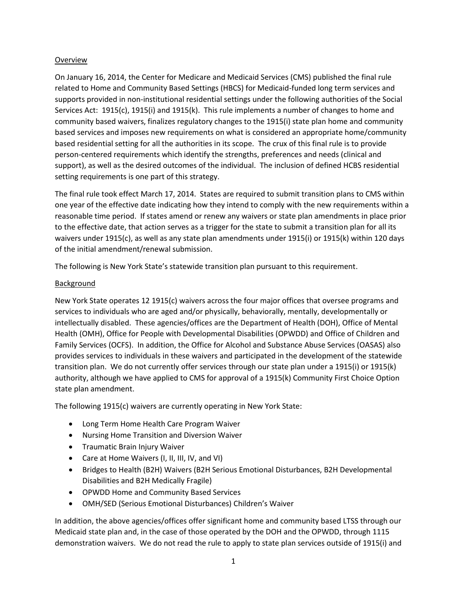## Overview

On January 16, 2014, the Center for Medicare and Medicaid Services (CMS) published the final rule related to Home and Community Based Settings (HBCS) for Medicaid-funded long term services and supports provided in non-institutional residential settings under the following authorities of the Social Services Act: 1915(c), 1915(i) and 1915(k). This rule implements a number of changes to home and community based waivers, finalizes regulatory changes to the 1915(i) state plan home and community based services and imposes new requirements on what is considered an appropriate home/community based residential setting for all the authorities in its scope. The crux of this final rule is to provide person-centered requirements which identify the strengths, preferences and needs (clinical and support), as well as the desired outcomes of the individual. The inclusion of defined HCBS residential setting requirements is one part of this strategy.

The final rule took effect March 17, 2014. States are required to submit transition plans to CMS within one year of the effective date indicating how they intend to comply with the new requirements within a reasonable time period. If states amend or renew any waivers or state plan amendments in place prior to the effective date, that action serves as a trigger for the state to submit a transition plan for all its waivers under 1915(c), as well as any state plan amendments under 1915(i) or 1915(k) within 120 days of the initial amendment/renewal submission.

The following is New York State's statewide transition plan pursuant to this requirement.

## Background

New York State operates 12 1915(c) waivers across the four major offices that oversee programs and services to individuals who are aged and/or physically, behaviorally, mentally, developmentally or intellectually disabled. These agencies/offices are the Department of Health (DOH), Office of Mental Health (OMH), Office for People with Developmental Disabilities (OPWDD) and Office of Children and Family Services (OCFS). In addition, the Office for Alcohol and Substance Abuse Services (OASAS) also provides services to individuals in these waivers and participated in the development of the statewide transition plan. We do not currently offer services through our state plan under a 1915(i) or 1915(k) authority, although we have applied to CMS for approval of a 1915(k) Community First Choice Option state plan amendment.

The following 1915(c) waivers are currently operating in New York State:

- Long Term Home Health Care Program Waiver
- Nursing Home Transition and Diversion Waiver
- **•** Traumatic Brain Injury Waiver
- Care at Home Waivers (I, II, III, IV, and VI)
- Bridges to Health (B2H) Waivers (B2H Serious Emotional Disturbances, B2H Developmental Disabilities and B2H Medically Fragile)
- OPWDD Home and Community Based Services
- OMH/SED (Serious Emotional Disturbances) Children's Waiver

In addition, the above agencies/offices offer significant home and community based LTSS through our Medicaid state plan and, in the case of those operated by the DOH and the OPWDD, through 1115 demonstration waivers. We do not read the rule to apply to state plan services outside of 1915(i) and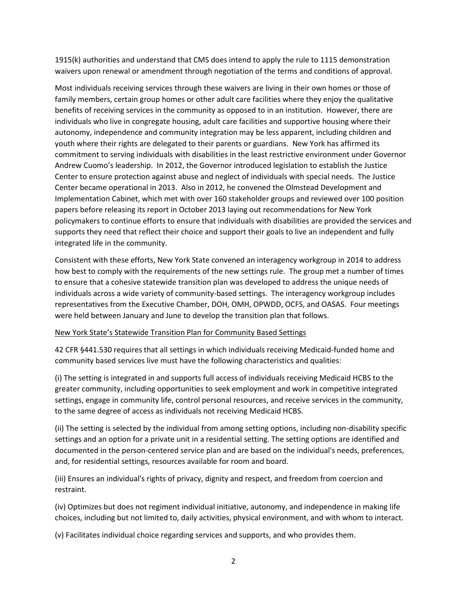1915(k) authorities and understand that CMS does intend to apply the rule to 1115 demonstration waivers upon renewal or amendment through negotiation of the terms and conditions of approval.

Most individuals receiving services through these waivers are living in their own homes or those of family members, certain group homes or other adult care facilities where they enjoy the qualitative benefits of receiving services in the community as opposed to in an institution. However, there are individuals who live in congregate housing, adult care facilities and supportive housing where their autonomy, independence and community integration may be less apparent, including children and youth where their rights are delegated to their parents or guardians. New York has affirmed its commitment to serving individuals with disabilities in the least restrictive environment under Governor Andrew Cuomo's leadership. In 2012, the Governor introduced legislation to establish the Justice Center to ensure protection against abuse and neglect of individuals with special needs. The Justice Center became operational in 2013. Also in 2012, he convened the Olmstead Development and Implementation Cabinet, which met with over 160 stakeholder groups and reviewed over 100 position papers before releasing its report in October 2013 laying out recommendations for New York policymakers to continue efforts to ensure that individuals with disabilities are provided the services and supports they need that reflect their choice and support their goals to live an independent and fully integrated life in the community.

Consistent with these efforts, New York State convened an interagency workgroup in 2014 to address how best to comply with the requirements of the new settings rule. The group met a number of times to ensure that a cohesive statewide transition plan was developed to address the unique needs of individuals across a wide variety of community-based settings. The interagency workgroup includes representatives from the Executive Chamber, DOH, OMH, OPWDD, OCFS, and OASAS. Four meetings were held between January and June to develop the transition plan that follows.

## New York State's Statewide Transition Plan for Community Based Settings

42 CFR §441.530 requires that all settings in which individuals receiving Medicaid-funded home and community based services live must have the following characteristics and qualities:

(i) The setting is integrated in and supports full access of individuals receiving Medicaid HCBS to the greater community, including opportunities to seek employment and work in competitive integrated settings, engage in community life, control personal resources, and receive services in the community, to the same degree of access as individuals not receiving Medicaid HCBS.

(ii) The setting is selected by the individual from among setting options, including non-disability specific settings and an option for a private unit in a residential setting. The setting options are identified and documented in the person-centered service plan and are based on the individual's needs, preferences, and, for residential settings, resources available for room and board.

(iii) Ensures an individual's rights of privacy, dignity and respect, and freedom from coercion and restraint.

(iv) Optimizes but does not regiment individual initiative, autonomy, and independence in making life choices, including but not limited to, daily activities, physical environment, and with whom to interact.

(v) Facilitates individual choice regarding services and supports, and who provides them.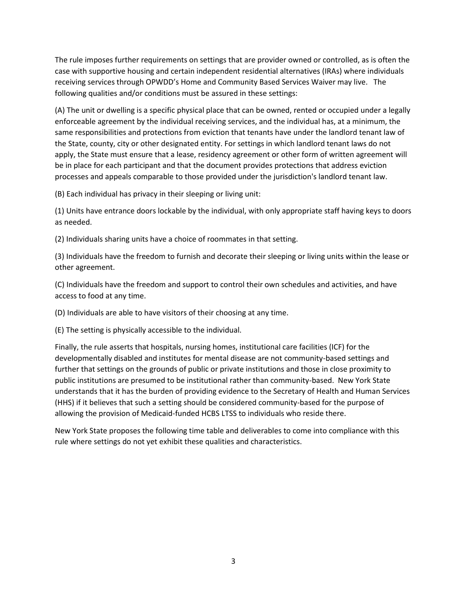The rule imposes further requirements on settings that are provider owned or controlled, as is often the case with supportive housing and certain independent residential alternatives (IRAs) where individuals receiving services through OPWDD's Home and Community Based Services Waiver may live. The following qualities and/or conditions must be assured in these settings:

(A) The unit or dwelling is a specific physical place that can be owned, rented or occupied under a legally enforceable agreement by the individual receiving services, and the individual has, at a minimum, the same responsibilities and protections from eviction that tenants have under the landlord tenant law of the State, county, city or other designated entity. For settings in which landlord tenant laws do not apply, the State must ensure that a lease, residency agreement or other form of written agreement will be in place for each participant and that the document provides protections that address eviction processes and appeals comparable to those provided under the jurisdiction's landlord tenant law.

(B) Each individual has privacy in their sleeping or living unit:

(1) Units have entrance doors lockable by the individual, with only appropriate staff having keys to doors as needed.

(2) Individuals sharing units have a choice of roommates in that setting.

(3) Individuals have the freedom to furnish and decorate their sleeping or living units within the lease or other agreement.

(C) Individuals have the freedom and support to control their own schedules and activities, and have access to food at any time.

(D) Individuals are able to have visitors of their choosing at any time.

(E) The setting is physically accessible to the individual.

Finally, the rule asserts that hospitals, nursing homes, institutional care facilities (ICF) for the developmentally disabled and institutes for mental disease are not community-based settings and further that settings on the grounds of public or private institutions and those in close proximity to public institutions are presumed to be institutional rather than community-based. New York State understands that it has the burden of providing evidence to the Secretary of Health and Human Services (HHS) if it believes that such a setting should be considered community-based for the purpose of allowing the provision of Medicaid-funded HCBS LTSS to individuals who reside there.

New York State proposes the following time table and deliverables to come into compliance with this rule where settings do not yet exhibit these qualities and characteristics.